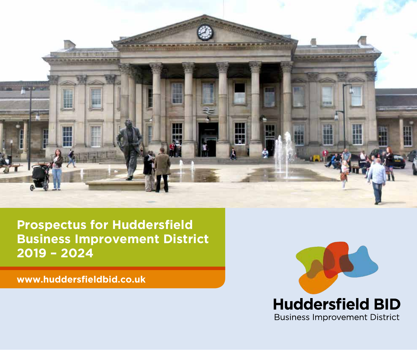

**Prospectus for Huddersfield Business Improvement District 2019 – 2024**

**www.huddersfieldbid.co.uk**

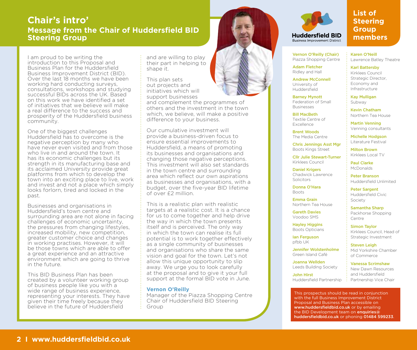#### **Chair's intro' Message from the Chair of Huddersfield BID Steering Group**

I am proud to be writing the introduction to this Proposal and Business Plan for the Huddersfield Business Improvement District (BID). Over the last 18 months we have been working hard conducting surveys, consultations, workshops and studying successful BIDs across the UK. Based on this work we have identified a set of initiatives that we believe will make a real difference to the success and prosperity of the Huddersfield business community.

One of the biggest challenges Huddersfield has to overcome is the negative perception by many who have never even visited and from those who live in and around the town. It has its economic challenges but its strength in its manufacturing base and its acclaimed University provide great platforms from which to develop the town into an exciting place to live, work and invest and not a place which simply looks forlorn, tired and locked in the past.

Businesses and organisations in Huddersfield's town centre and surrounding area are not alone in facing challenges of economic uncertainty, the pressures from changing lifestyles, increased mobility, new competition, greater customer choice and changes in working practises. However, it will be those towns which are able to offer a great experience and an attractive environment which are going to thrive in the future.

This BID Business Plan has been created by a volunteer working group of business people like you with a wide range of business experience. representing your interests. They have given their time freely because they believe in the future of Huddersfield

and are willing to play their part in helping to shape it

This plan sets out projects and initiatives which will support businesses

and complement the programmes of others and the investment in the town which, we believe, will make a positive difference to your business.

Our cumulative investment will provide a business-driven focus to ensure essential improvements to Huddersfield, a means of promoting its businesses and organisations and changing those negative perceptions. This investment will also set standards in the town centre and surrounding area which reflect our own aspirations as businesses and organisations, with a budget, over the five-year BID lifetime of over £2 million.

This is a realistic plan with realistic targets at a realistic cost. It is a chance for us to come together and help drive the way in which the town presents itself and is perceived. The only way in which the town can realise its full potential is to work together effectively as a single community of businesses and organisations who share the same vision and goal for the town. Let's not allow this unique opportunity to slip away. We urge you to look carefully at the proposal and to give it your full support at the formal BID vote in June.

#### **Vernon O'Reilly**

Manager of the Piazza Shopping Centre Chair of Huddersfield BID Steering Group





#### **List of Steering Group members**

Vernon O'Reilly (Chair) Piazza Shopping Centre

**Ruginess Improvement District** 

Adam Fletcher Ridley and Hall

Andrew McConnell University of Huddersfield

Barney Mynott Federation of Small Businesses

Bill MacBeth Textile Centre of Excellence

Brent Woods The Media Centre

Chris Jennings Asst Mgr Boots Kings Street

Cllr Julie Stewart-Turner Kirklees Council

Daniel Krigers Chadwick Lawrence Solicitors

Donna O'Hara Boots

Emma Grain Northern Tea House

Gareth Davies Voodoo SMS

Hayley Higgins Boots Opticians

Ian Ferguson pfbb UK

Jennifer Wolstenholme Green Island Café

Joanna Wellden Leeds Building Society

John Hirst Huddersfield Partnership Karen O'Neill Lawrence Batley Theatre

Karl Battersby Kirklees Council Strategic Director, Economy and Infrastructure

Kay Mulligan Subway

Kevin Chatham Northern Tea House

Martin Venning Venning consultants

Michelle Hodgson Literature Festival

Milton Brown Kirklees Local TV

Paul Clarke McDonalds

Peter Branson Huddersfield Unlimited

Peter Sargent Huddersfield Civic Society

Samantha Sharp Packhorse Shopping Centre

Simon Taylor Kirklees Council, Head of Strategic Investment

Steven Leigh Mid Yorkshire Chamber of Commerce

Vanessa Scrimshaw

New Dawn Resources and Huddersfield Partnership Vice Chair

This prospectus should be read in conjunction with the full Business Improvement District Proposal and Business Plan accessible on www.huddersfieldbid.co.uk or by emailing the BID Development team on enquiries  $\alpha$ huddersfieldbid.co.uk or phoning 01484 599233.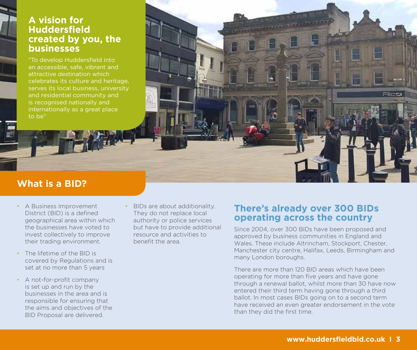#### **A vision for Huddersfield created by you, the businesses**

"To develop Huddersfield into an accessible, safe, vibrant and attractive destination which celebrates its culture and heritage, serves its local business, university and residential community and is recognised nationally and internationally as a great place to be"

### **What is a BID?**

- A Business Improvement District (BID) is a defined geographical area within which the businesses have voted to invest collectively to improve their trading environment.
- The lifetime of the BID is covered by Regulations and is set at no more than 5 years
- A not-for-profit company is set up and run by the businesses in the area and is responsible for ensuring that the aims and objectives of the BID Proposal are delivered.

• BIDs are about additionality. They do not replace local authority or police services but have to provide additional resource and activities to benefit the area.

#### **There's already over 300 BIDs operating across the country**

Since 2004, over 300 BIDs have been proposed and approved by business communities in England and Wales. These include Altrincham, Stockport, Chester, Manchester city centre, Halifax, Leeds, Birmingham and many London boroughs.

There are more than 120 BID areas which have been operating for more than five years and have gone through a renewal ballot, whilst more than 30 have now entered their third term having gone through a third ballot. In most cases BIDs going on to a second term have received an even greater endorsement in the vote than they did the first time.

Flire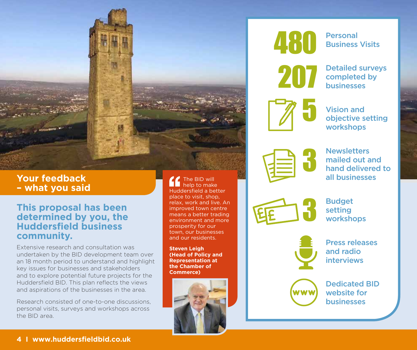

#### **Your feedback – what you said**

#### **This proposal has been determined by you, the Huddersfield business community.**

Extensive research and consultation was undertaken by the BID development team over an 18 month period to understand and highlight key issues for businesses and stakeholders and to explore potential future projects for the Huddersfield BID. This plan reflects the views and aspirations of the businesses in the area.

Research consisted of one-to-one discussions, personal visits, surveys and workshops across the BID area.

The BID will help to make Huddersfield a better place to visit, shop, relax, work and live. An improved town centre means a better trading environment and more prosperity for our town, our businesses and our residents.

**Steven Leigh (Head of Policy and Representation at the Chamber of Commerce)**





Personal Business Visits



Detailed surveys completed by businesses



Vision and objective setting workshops



**Newsletters** mailed out and hand delivered to all businesses



Budget setting workshops



Press releases and radio interviews



Dedicated BID website for businesses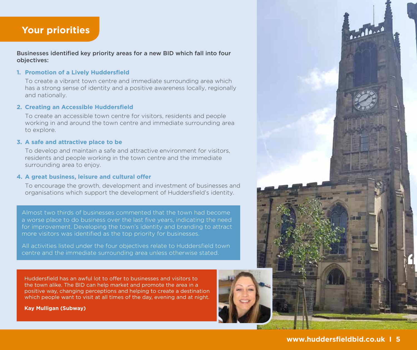#### **Your priorities**

Businesses identified key priority areas for a new BID which fall into four objectives:

#### **1. Promotion of a Lively Huddersfield**

 To create a vibrant town centre and immediate surrounding area which has a strong sense of identity and a positive awareness locally, regionally and nationally.

#### **2. Creating an Accessible Huddersfield**

 To create an accessible town centre for visitors, residents and people working in and around the town centre and immediate surrounding area to explore.

#### **3. A safe and attractive place to be**

 To develop and maintain a safe and attractive environment for visitors, residents and people working in the town centre and the immediate surrounding area to enjoy.

#### **4. A great business, leisure and cultural offer**

 To encourage the growth, development and investment of businesses and organisations which support the development of Huddersfield's identity.

Almost two thirds of businesses commented that the town had become a worse place to do business over the last five years, indicating the need for improvement. Developing the town's identity and branding to attract more visitors was identified as the top priority for businesses.

All activities listed under the four objectives relate to Huddersfield town centre and the immediate surrounding area unless otherwise stated.

Huddersfield has an awful lot to offer to businesses and visitors to the town alike. The BID can help market and promote the area in a positive way, changing perceptions and helping to create a destination which people want to visit at all times of the day, evening and at night.

**Kay Mulligan (Subway)**



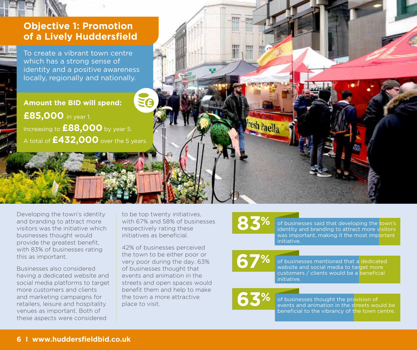

To create a vibrant town centre which has a strong sense of identity and a positive awareness locally, regionally and nationally.

**Amount the BID will spend: £85,000** in year 1. Increasing to **£88,000** by year 5. A total of **£432,000** over the 5 years.

Developing the town's identity and branding to attract more visitors was the initiative which businesses thought would provide the greatest benefit, with 83% of businesses rating this as important.

Businesses also considered having a dedicated website and social media platforms to target more customers and clients and marketing campaigns for retailers, leisure and hospitality venues as important. Both of these aspects were considered

to be top twenty initiatives, with 67% and 58% of businesses respectively rating these initiatives as beneficial.

42% of businesses perceived the town to be either poor or very poor during the day. 63% of businesses thought that events and animation in the streets and open spaces would benefit them and help to make the town a more attractive place to visit.

Fresh Paella

**83%** of businesses said that developing the town's identity and branding to attract more visitors was important, making it the most important initiative.

> **67%** of businesses mentioned that a dedicated website and social media to target more customers / clients would be a beneficial initiative.

**63%** of businesses thought the provision of events and animation in the streets would be beneficial to the vibrancy of the town centre.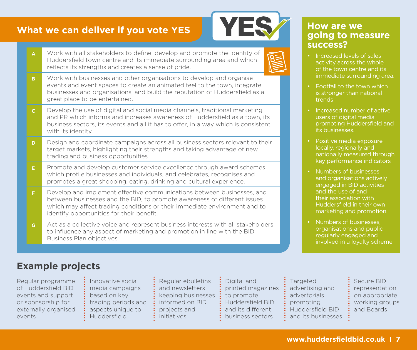

| A            | Work with all stakeholders to define, develop and promote the identity of<br>Huddersfield town centre and its immediate surrounding area and which<br>reflects its strengths and creates a sense of pride.                                                                   |  |  |  |  |  |
|--------------|------------------------------------------------------------------------------------------------------------------------------------------------------------------------------------------------------------------------------------------------------------------------------|--|--|--|--|--|
| B.           | Work with businesses and other organisations to develop and organise<br>events and event spaces to create an animated feel to the town, integrate<br>businesses and organisations, and build the reputation of Huddersfield as a<br>great place to be entertained.           |  |  |  |  |  |
| $\mathbf{C}$ | Develop the use of digital and social media channels, traditional marketing<br>and PR which informs and increases awareness of Huddersfield as a town, its<br>business sectors, its events and all it has to offer, in a way which is consistent<br>with its identity.       |  |  |  |  |  |
| D            | Design and coordinate campaigns across all business sectors relevant to their<br>target markets, highlighting their strengths and taking advantage of new<br>trading and business opportunities.                                                                             |  |  |  |  |  |
| E.           | Promote and develop customer service excellence through award schemes<br>which profile businesses and individuals, and celebrates, recognises and<br>promotes a great shopping, eating, drinking and cultural experience.                                                    |  |  |  |  |  |
| F.           | Develop and implement effective communications between businesses, and<br>between businesses and the BID, to promote awareness of different issues<br>which may affect trading conditions or their immediate environment and to<br>identify opportunities for their benefit. |  |  |  |  |  |
| G.           | Act as a collective voice and represent business interests with all stakeholders<br>to influence any aspect of marketing and promotion in line with the BID<br>Business Plan objectives.                                                                                     |  |  |  |  |  |

#### **How are we going to measure success?**

- Increased levels of sales activity across the whole of the town centre and its immediate surrounding area.
- Footfall to the town which is stronger than national trends
- Increased number of active users of digital media promoting Huddersfield and its businesses.
- Positive media exposure locally, regionally and nationally measured through key performance indicators
- Numbers of businesses and organisations actively engaged in BID activities and the use of and their association with Huddersfield in their own marketing and promotion.
- Numbers of businesses, organisations and public regularly engaged and involved in a loyalty scheme

# **Example projects**

Regular programme of Huddersfield BID events and support or sponsorship for externally organised events

Innovative social media campaigns based on key trading periods and aspects unique to Huddersfield

Regular ebulletins and newsletters keeping businesses informed on BID projects and initiatives

Digital and printed magazines to promote Huddersfield BID and its different business sectors

**Targeted** advertising and advertorials promoting Huddersfield BID and its businesses

Secure BID representation on appropriate working groups and Boards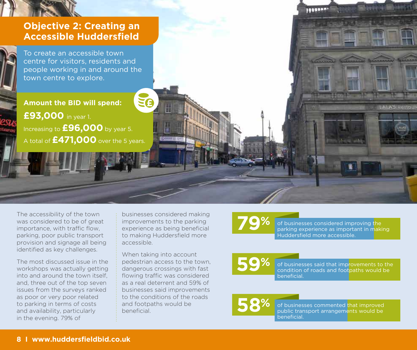

The accessibility of the town was considered to be of great importance, with traffic flow, parking, poor public transport provision and signage all being identified as key challenges.

The most discussed issue in the workshops was actually getting into and around the town itself, and, three out of the top seven issues from the surveys ranked as poor or very poor related to parking in terms of costs and availability, particularly in the evening. 79% of

businesses considered making improvements to the parking experience as being beneficial to making Huddersfield more accessible.

When taking into account pedestrian access to the town, dangerous crossings with fast flowing traffic was considered as a real deterrent and 59% of businesses said improvements to the conditions of the roads and footpaths would be beneficial.

**89%** of businesses considered improving the parking experience as important in making Huddersfield more accessible.

**9%** of businesses said that improvements to the condition of roads and footpaths would be beneficial.

**58%** of businesses commented that improved public transport arrangements would be beneficial.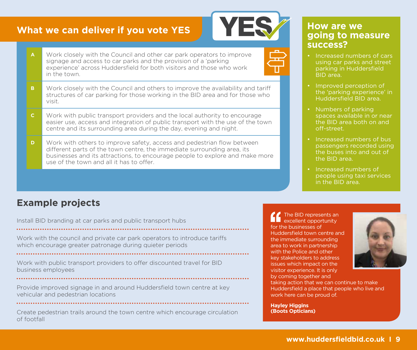

- **A** Work closely with the Council and other car park operators to improve signage and access to car parks and the provision of a 'parking experience' across Huddersfield for both visitors and those who work in the town.
- **B** Work closely with the Council and others to improve the availability and tariff structures of car parking for those working in the BID area and for those who visit.
- **C** Work with public transport providers and the local authority to encourage easier use, access and integration of public transport with the use of the town centre and its surrounding area during the day, evening and night.
- **D** Work with others to improve safety, access and pedestrian flow between different parts of the town centre, the immediate surrounding area, its businesses and its attractions, to encourage people to explore and make more use of the town and all it has to offer.

#### **How are we going to measure success?**

- Increased numbers of cars using car parks and street parking in Huddersfield BID area.
- Improved perception of the 'parking experience' in Huddersfield BID area.
- Numbers of parking spaces available in or near the BID area both on and off-street.
- Increased numbers of bus passengers recorded using the buses into and out of the BID area.
- Increased numbers of people using taxi services in the BID area.

# **Example projects**

Install BID branding at car parks and public transport hubs 

Work with the council and private car park operators to introduce tariffs which encourage greater patronage during quieter periods

Work with public transport providers to offer discounted travel for BID business employees

Provide improved signage in and around Huddersfield town centre at key vehicular and pedestrian locations

Create pedestrian trails around the town centre which encourage circulation of footfall

The BID represents an excellent opportunity for the businesses of Huddersfield town centre and the immediate surrounding area to work in partnership with the Police and other key stakeholders to address issues which impact on the visitor experience. It is only by coming together and

taking action that we can continue to make Huddersfield a place that people who live and work here can be proud of.

**Hayley Higgins (Boots Opticians)**

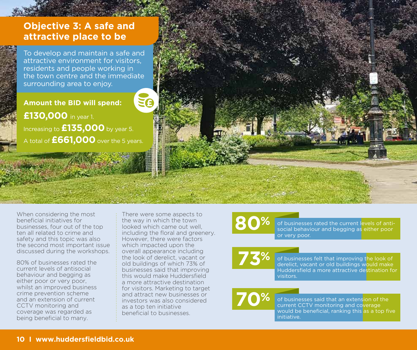

## **Objective 3: A safe and attractive place to be**

To develop and maintain a safe and attractive environment for visitors, residents and people working in the town centre and the immediate surrounding area to enjoy.

**Amount the BID will spend:**

**£130,000** in year 1. Increasing to **£135,000** by year 5. A total of **£661,000** over the 5 years.

When considering the most beneficial initiatives for businesses, four out of the top ten all related to crime and safety and this topic was also the second most important issue discussed during the workshops.

80% of businesses rated the current levels of antisocial behaviour and begging as either poor or very poor, whilst an improved business crime prevention scheme and an extension of current CCTV monitoring and coverage was regarded as being beneficial to many.

There were some aspects to the way in which the town looked which came out well, including the floral and greenery. However, there were factors which impacted upon the overall appearance including the look of derelict, vacant or old buildings of which 73% of businesses said that improving this would make Huddersfield a more attractive destination for visitors. Marketing to target and attract new businesses or investors was also considered as a top ten initiative beneficial to businesses.

**800%** of businesses rated the current levels of antisocial behaviour and begging as either poor or very poor.

> of businesses felt that improving the look of derelict, vacant or old buildings would make Huddersfield a more attractive destination for visitors.

**70%** of businesses said that an extension of the current CCTV monitoring and coverage would be beneficial, ranking this as a top five initiative.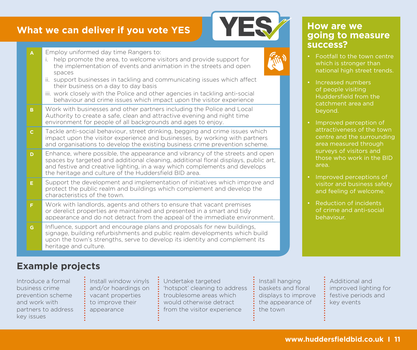| $\mathbf{A}$ | Employ uniformed day time Rangers to:<br>help promote the area, to welcome visitors and provide support for<br>i.<br>the implementation of events and animation in the streets and open<br>spaces<br>ii. support businesses in tackling and communicating issues which affect<br>their business on a day to day basis<br>iii. work closely with the Police and other agencies in tackling anti-social<br>behaviour and crime issues which impact upon the visitor experience |  |  |  |  |  |
|--------------|------------------------------------------------------------------------------------------------------------------------------------------------------------------------------------------------------------------------------------------------------------------------------------------------------------------------------------------------------------------------------------------------------------------------------------------------------------------------------|--|--|--|--|--|
| B            | Work with businesses and other partners including the Police and Local<br>Authority to create a safe, clean and attractive evening and night time<br>environment for people of all backgrounds and ages to enjoy.                                                                                                                                                                                                                                                            |  |  |  |  |  |
| $\mathsf{C}$ | Tackle anti-social behaviour, street drinking, begging and crime issues which<br>impact upon the visitor experience and businesses, by working with partners<br>and organisations to develop the existing business crime prevention scheme.                                                                                                                                                                                                                                  |  |  |  |  |  |
| D            | Enhance, where possible, the appearance and vibrancy of the streets and open<br>spaces by targeted and additional cleaning, additional floral displays, public art,<br>and festive and creative lighting, in a way which complements and develops<br>the heritage and culture of the Huddersfield BID area.                                                                                                                                                                  |  |  |  |  |  |
| E.           | Support the development and implementation of initiatives which improve and<br>protect the public realm and buildings which complement and develop the<br>characteristics of the town.                                                                                                                                                                                                                                                                                       |  |  |  |  |  |
| F.           | Work with landlords, agents and others to ensure that vacant premises<br>or derelict properties are maintained and presented in a smart and tidy<br>appearance and do not detract from the appeal of the immediate environment.                                                                                                                                                                                                                                              |  |  |  |  |  |
| G.           | Influence, support and encourage plans and proposals for new buildings,<br>signage, building refurbishments and public realm developments which build<br>upon the town's strengths, serve to develop its identity and complement its<br>heritage and culture.                                                                                                                                                                                                                |  |  |  |  |  |

#### **How are we going to measure success?**

- Footfall to the town centre which is stronger than national high street trends.
- Increased numbers of people visiting Huddersfield from the catchment area and beyond.
- Improved perception of attractiveness of the town centre and the surrounding area measured through surveys of visitors and those who work in the BID area.
- Improved perceptions of visitor and business safety and feeling of welcome.
- Reduction of incidents of crime and anti-social behaviour.

# **Example projects**

Introduce a formal business crime prevention scheme and work with partners to address key issues

Install window vinyls and/or hoardings on vacant properties to improve their appearance

Undertake targeted 'hotspot' cleaning to address troublesome areas which would otherwise detract from the visitor experience

Install hanging baskets and floral displays to improve the appearance of the town

Additional and improved lighting for festive periods and key events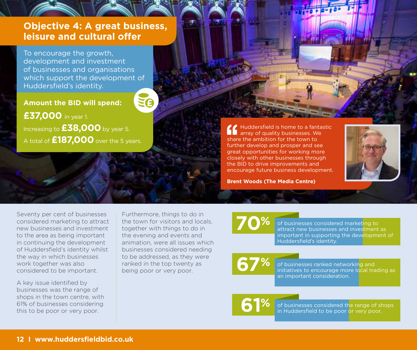### **Objective 4: A great business, leisure and cultural offer**

To encourage the growth, development and investment of businesses and organisations which support the development of Huddersfield's identity.

**Amount the BID will spend: £37,000** in year 1. Increasing to **£38,000** by year 5. A total of **£187,000** over the 5 years.

Huddersfield is home to a fantastic<br>array of quality buyers array of quality businesses. We share the ambition for the town to further develop and prosper and see great opportunities for working more closely with other businesses through the BID to drive improvements and encourage future business development.

**Brent Woods (The Media Centre)**



Seventy per cent of businesses considered marketing to attract new businesses and investment to the area as being important in continuing the development of Huddersfield's identity whilst the way in which businesses work together was also considered to be important.

A key issue identified by businesses was the range of shops in the town centre, with 61% of businesses considering this to be poor or very poor.

Furthermore, things to do in the town for visitors and locals, together with things to do in the evening and events and animation, were all issues which businesses considered needing to be addressed, as they were ranked in the top twenty as being poor or very poor.

**70%** of businesses considered marketing to attract new businesses and investment as important in supporting the development of Huddersfield's identity.

**67%** of businesses ranked networking and initiatives to encourage more local trading as an important consideration.

**61%** of businesses considered the range of shops in Huddersfield to be poor or very poor.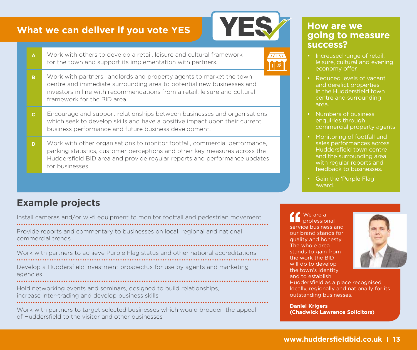

 $\overline{77133}$ 

- **A** Work with others to develop a retail, leisure and cultural framework for the town and support its implementation with partners.
- **B** Work with partners, landlords and property agents to market the town centre and immediate surrounding area to potential new businesses and investors in line with recommendations from a retail, leisure and cultural framework for the BID area.
- **C** Encourage and support relationships between businesses and organisations which seek to develop skills and have a positive impact upon their current business performance and future business development.
- **D** Work with other organisations to monitor footfall, commercial performance, parking statistics, customer perceptions and other key measures across the Huddersfield BID area and provide regular reports and performance updates for businesses.

# **Example projects**

Install cameras and/or wi-fi equipment to monitor footfall and pedestrian movement Provide reports and commentary to businesses on local, regional and national commercial trends

Work with partners to achieve Purple Flag status and other national accreditations Develop a Huddersfield investment prospectus for use by agents and marketing

agencies

Hold networking events and seminars, designed to build relationships, increase inter-trading and develop business skills

Work with partners to target selected businesses which would broaden the appeal of Huddersfield to the visitor and other businesses

#### **How are we going to measure success?**

- Increased range of retail, leisure, cultural and evening economy offer.
- Reduced levels of vacant and derelict properties in the Huddersfield town centre and surrounding area.
- Numbers of business enquiries through commercial property agents
- Monitoring of footfall and sales performances across Huddersfield town centre and the surrounding area with regular reports and feedback to businesses.
- Gain the 'Purple Flag' award.

We are a professional service business and our brand stands for quality and honesty. The whole area stands to gain from the work the BID will do to develop the town's identity and to establish



Huddersfield as a place recognised locally, regionally and nationally for its outstanding businesses.

**Daniel Krigers (Chadwick Lawrence Solicitors)**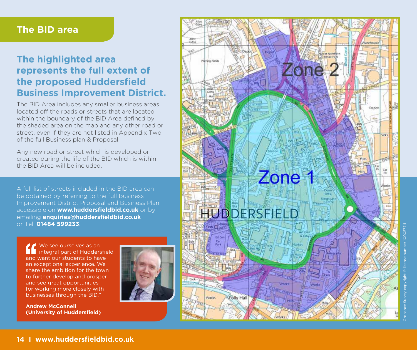#### **The BID area**

# **The highlighted area represents the full extent of the proposed Huddersfield Business Improvement District.**

The BID Area includes any smaller business areas located off the roads or streets that are located within the boundary of the BID Area defined by the shaded area on the map and any other road or street, even if they are not listed in Appendix Two of the full Business plan & Proposal.

Any new road or street which is developed or created during the life of the BID which is within the BID Area will be included.

A full list of streets included in the BID area can be obtained by referring to the full Business Improvement District Proposal and Business Plan accessible on **www.huddersfieldbid.co.uk** or by emailing **enquiries@huddersfieldbid.co.uk** or Tel: **01484 599233** .

We see ourselves as an integral part of Huddersfield and want our students to have an exceptional experience. We share the ambition for the town to further develop and prosper and see great opportunities for working more closely with businesses through the BID."



**Andrew McConnell (University of Huddersfield)**

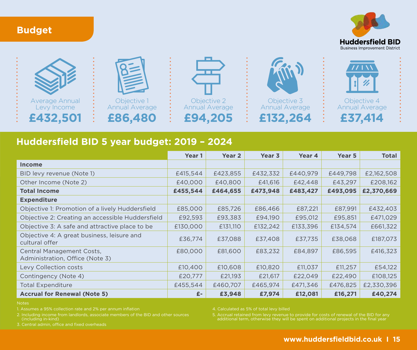





# **Huddersfield BID 5 year budget: 2019 – 2024**

|                                                              | Year 1   | Year <sub>2</sub> | Year 3   | Year 4   | Year 5   | <b>Total</b> |
|--------------------------------------------------------------|----------|-------------------|----------|----------|----------|--------------|
| <b>Income</b>                                                |          |                   |          |          |          |              |
| BID levy revenue (Note 1)                                    | £415,544 | £423,855          | £432,332 | £440,979 | £449,798 | £2,162,508   |
| Other Income (Note 2)                                        | £40,000  | £40,800           | £41,616  | £42,448  | £43,297  | £208,162     |
| <b>Total Income</b>                                          | £455,544 | £464,655          | £473,948 | £483,427 | £493,095 | £2,370,669   |
| <b>Expenditure</b>                                           |          |                   |          |          |          |              |
| Objective 1: Promotion of a lively Huddersfield              | £85,000  | £85,726           | £86,466  | £87,221  | £87,991  | £432,403     |
| Objective 2: Creating an accessible Huddersfield             | £92,593  | £93,383           | £94,190  | £95,012  | £95,851  | £471,029     |
| Objective 3: A safe and attractive place to be               | £130,000 | £131,110          | £132,242 | £133,396 | £134,574 | £661,322     |
| Objective 4: A great business, leisure and<br>cultural offer | £36,774  | £37,088           | £37,408  | £37,735  | £38,068  | £187,073     |
| Central Management Costs,<br>Administration, Office (Note 3) | £80,000  | £81,600           | £83,232  | £84,897  | £86,595  | £416,323     |
| Levy Collection costs                                        | £10,400  | £10,608           | £10,820  | £11,037  | £11,257  | £54,122      |
| Contingency (Note 4)                                         | £20,777  | £21,193           | £21,617  | £22,049  | £22,490  | £108,125     |
| <b>Total Expenditure</b>                                     | £455,544 | £460,707          | £465,974 | £471,346 | £476,825 | £2,330,396   |
| <b>Accrual for Renewal (Note 5)</b>                          | $E-$     | £3,948            | £7,974   | £12,081  | £16,271  | £40,274      |

Notes

1. Assumes a 95% collection rate and 2% per annum inflation

2. Including income from landlords, associate members of the BID and other sources (including in-kind)

3. Central admin, office and fixed overheads

4. Calculated as 5% of total levy billed

5. Accrual retained from levy revenue to provide for costs of renewal of the BID for any additional term, otherwise they will be spent on additional projects in the final year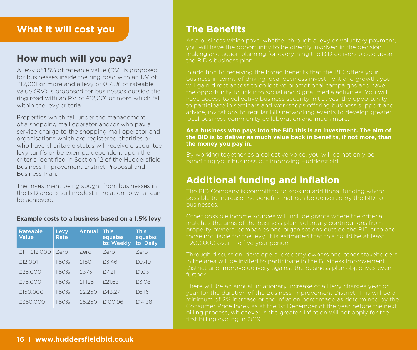#### **What it will cost you**

# **How much will you pay?**

A levy of 1.5% of rateable value (RV) is proposed for businesses inside the ring road with an RV of £12,001 or more and a levy of 0.75% of rateable value (RV) is proposed for businesses outside the ring road with an RV of £12,001 or more which fall within the levy criteria.

Properties which fall under the management of a shopping mall operator and/or who pay a service charge to the shopping mall operator and organisations which are registered charities or who have charitable status will receive discounted levy tariffs or be exempt, dependent upon the criteria identified in Section 12 of the Huddersfield Business Improvement District Proposal and Business Plan.

The investment being sought from businesses in the BID area is still modest in relation to what can be achieved.

#### **Example costs to a business based on a 1.5% levy**

| <b>Rateable</b><br><b>Value</b> | Levy<br>Rate | <b>Annual</b> | <b>This</b><br>equates<br>to: Weekly | <b>This</b><br>equates<br>to: Daily |
|---------------------------------|--------------|---------------|--------------------------------------|-------------------------------------|
| $£1 - £12,000$                  | Zero         | Zero          | Zero                                 | Zero                                |
| £12,001                         | 1.50%        | £180          | £3.46                                | £0.49                               |
| £25,000                         | 1.50%        | £375          | f721                                 | £1.03                               |
| £75,000                         | 1.50%        | £1.125        | £21.63                               | £3.08                               |
| £150,000                        | 1.50%        | £2.250        | £43.27                               | £6.16                               |
| £350.000                        | 1.50%        | £5.250        | £100.96                              | £14.38                              |

### **The Benefits**

As a business which pays, whether through a levy or voluntary payment, you will have the opportunity to be directly involved in the decision making and action planning for everything the BID delivers based upon the BID's business plan.

In addition to receiving the broad benefits that the BID offers your business in terms of driving local business investment and growth, you will gain direct access to collective promotional campaigns and have the opportunity to link into social and digital media activities. You will have access to collective business security initiatives, the opportunity to participate in seminars and workshops offering business support and advice, invitations to regular BID networking events to develop greater local business community collaboration and much more.

#### **As a business who pays into the BID this is an investment. The aim of the BID is to deliver as much value back in benefits, if not more, than the money you pay in.**

By working together as a collective voice, you will be not only be benefiting your business but improving Huddersfield.

### **Additional funding and inflation**

possible to increase the benefits that can be delivered by the BID to businesses.

Other possible income sources will include grants where the criteria matches the aims of the business plan, voluntary contributions from property owners, companies and organisations outside the BID area and those not liable for the levy. It is estimated that this could be at least £200,000 over the five year period.

Through discussion, developers, property owners and other stakeholders in the area will be invited to participate in the Business Improvement District and improve delivery against the business plan objectives even further.

There will be an annual inflationary increase of all levy charges year on year for the duration of the Business Improvement District. This will be a minimum of 2% increase or the inflation percentage as determined by the Consumer Price Index as at the 1st December of the year before the next billing process, whichever is the greater. Inflation will not apply for the first billing cycling in 2019.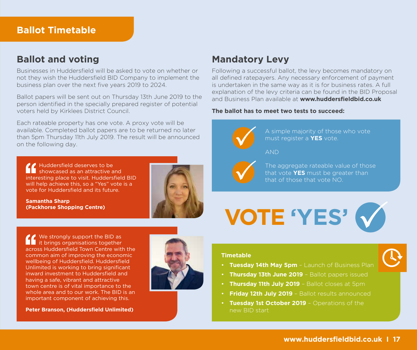#### **Ballot Timetable**

#### **Ballot and voting**

Businesses in Huddersfield will be asked to vote on whether or not they wish the Huddersfield BID Company to implement the business plan over the next five years 2019 to 2024.

Ballot papers will be sent out on Thursday 13th June 2019 to the person identified in the specially prepared register of potential voters held by Kirklees District Council.

Each rateable property has one vote. A proxy vote will be available. Completed ballot papers are to be returned no later than 5pm Thursday 11th July 2019. The result will be announced on the following day.

Huddersfield deserves to be showcased as an attractive and interesting place to visit. Huddersfield BID will help achieve this, so a "Yes" vote is a vote for Huddersfield and its future.

**Samantha Sharp (Packhorse Shopping Centre)**



**Mandatory Levy** 

Following a successful ballot, the levy becomes mandatory on all defined ratepayers. Any necessary enforcement of payment is undertaken in the same way as it is for business rates. A full explanation of the levy criteria can be found in the BID Proposal and Business Plan available at **www.huddersfieldbid.co.uk**

#### **The ballot has to meet two tests to succeed:**



**VOTE 'YES'**

We strongly support the BID as it brings organisations together across Huddersfield Town Centre with the common aim of improving the economic wellbeing of Huddersfield. Huddersfield Unlimited is working to bring significant inward investment to Huddersfield and having a safe, vibrant and attractive town centre is of vital importance to the whole area and to our work. The BID is an important component of achieving this.

**Peter Branson, (Huddersfield Unlimited)**



**Timetable**

- **Tuesday 14th May 5pm** Launch of Business Plan
- **Thursday 13th June 2019** Ballot papers issued
- **Thursday 11th July 2019** Ballot closes at 5pm
- **Friday 12th July 2019** Ballot results announced
- **Tuesday 1st October 2019** Operations of the new BID start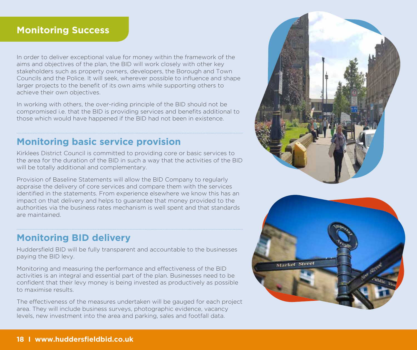#### **Monitoring Success**

In order to deliver exceptional value for money within the framework of the aims and objectives of the plan, the BID will work closely with other key stakeholders such as property owners, developers, the Borough and Town Councils and the Police. It will seek, wherever possible to influence and shape larger projects to the benefit of its own aims while supporting others to achieve their own objectives.

In working with others, the over-riding principle of the BID should not be compromised i.e. that the BID is providing services and benefits additional to those which would have happened if the BID had not been in existence.

# **Monitoring basic service provision**

Kirklees District Council is committed to providing core or basic services to the area for the duration of the BID in such a way that the activities of the BID will be totally additional and complementary.

Provision of Baseline Statements will allow the BID Company to regularly appraise the delivery of core services and compare them with the services identified in the statements. From experience elsewhere we know this has an impact on that delivery and helps to guarantee that money provided to the authorities via the business rates mechanism is well spent and that standards are maintained.

# **Monitoring BID delivery**

Huddersfield BID will be fully transparent and accountable to the businesses paying the BID levy.

Monitoring and measuring the performance and effectiveness of the BID activities is an integral and essential part of the plan. Businesses need to be confident that their levy money is being invested as productively as possible to maximise results.

The effectiveness of the measures undertaken will be gauged for each project area. They will include business surveys, photographic evidence, vacancy levels, new investment into the area and parking, sales and footfall data.



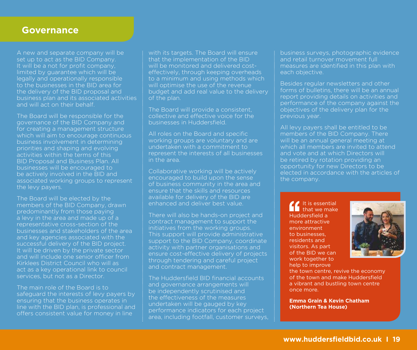#### **Governance**

A new and separate company will be set up to act as the BID Company. It will be a not for profit company, limited by guarantee which will be legally and operationally responsible to the businesses in the BID area for the delivery of the BID proposal and business plan and its associated activities and will act on their behalf.

The Board will be responsible for the governance of the BID Company and for creating a management structure which will aim to encourage continuous business involvement in determining priorities and shaping and evolving activities within the terms of this BID Proposal and Business Plan. All businesses will be encouraged to be actively involved in the BID and associated working groups to represent the levy payers.

The Board will be elected by the members of the BID Company, drawn predominantly from those paying a levy in the area and made up of a representative cross-section of the businesses and stakeholders of the area and key agencies associated with the successful delivery of the BID project. It will be driven by the private sector and will include one senior officer from Kirklees District Council who will as act as a key operational link to council services, but not as a Director.

The main role of the Board is to safeguard the interests of levy payers by ensuring that the business operates in line with the BID plan, is professional and offers consistent value for money in line

with its targets. The Board will ensure that the implementation of the BID will be monitored and delivered costeffectively, through keeping overheads to a minimum and using methods which will optimise the use of the revenue budget and add real value to the delivery of the plan.

The Board will provide a consistent, collective and effective voice for the businesses in Huddersfield.

All roles on the Board and specific working groups are voluntary and are undertaken with a commitment to represent the interests of all businesses in the area.

Collaborative working will be actively encouraged to build upon the sense of business community in the area and ensure that the skills and resources available for delivery of the BID are enhanced and deliver best value.

There will also be hands-on project and contract management to support the initiatives from the working groups. This support will provide administrative support to the BID Company, coordinate activity with partner organisations and ensure cost-effective delivery of projects through tendering and careful project and contract management.

The Huddersfield BID financial accounts and governance arrangements will be independently scrutinised and the effectiveness of the measures undertaken will be gauged by key performance indicators for each project area, including footfall, customer surveys, business surveys, photographic evidence and retail turnover movement full measures are identified in this plan with each objective.

Besides regular newsletters and other forms of bulletins, there will be an annual report providing details on activities and performance of the company against the objectives of the delivery plan for the previous year.

All levy payers shall be entitled to be members of the BID Company. There will be an annual general meeting at which all members are invited to attend and vote and at which Directors will be retired by rotation providing an opportunity for new Directors to be elected in accordance with the articles of the company.

It is essential that we make Huddersfield a more attractive environment to businesses, residents and visitors. As part of the BID we can work together to help to improve



the town centre, revive the economy of the town and make Huddersfield a vibrant and bustling town centre once more.

**Emma Grain & Kevin Chatham (Northern Tea House)**